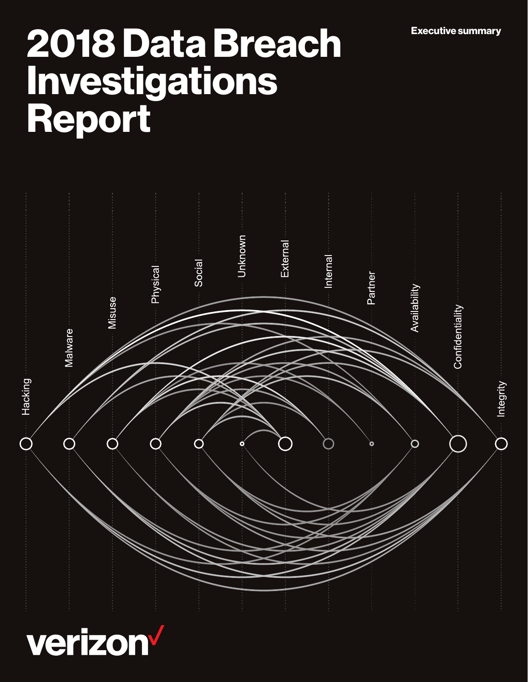# Executive summary 2018 Data Breach Investigations Report



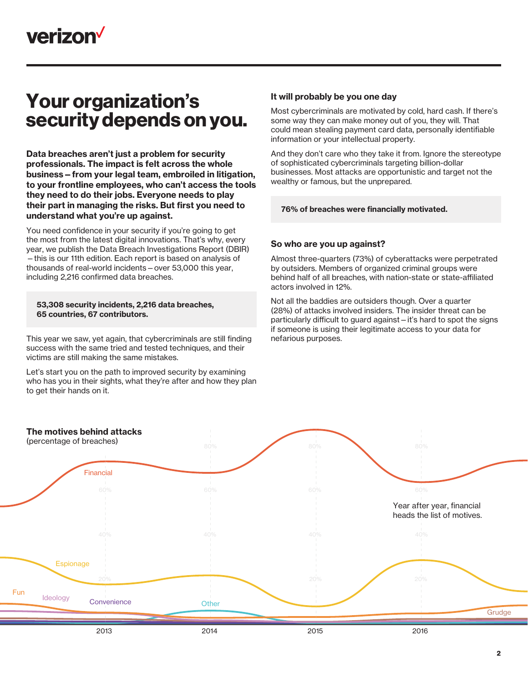

# Your organization's security depends on you.

Data breaches aren't just a problem for security professionals. The impact is felt across the whole business—from your legal team, embroiled in litigation, to your frontline employees, who can't access the tools they need to do their jobs. Everyone needs to play their part in managing the risks. But first you need to understand what you're up against.

You need confidence in your security if you're going to get the most from the latest digital innovations. That's why, every year, we publish the Data Breach Investigations Report (DBIR) —this is our 11th edition. Each report is based on analysis of thousands of real-world incidents—over 53,000 this year, including 2,216 confirmed data breaches.

## 53,308 security incidents, 2,216 data breaches, 65 countries, 67 contributors.

This year we saw, yet again, that cybercriminals are still finding success with the same tried and tested techniques, and their victims are still making the same mistakes.

Let's start you on the path to improved security by examining who has you in their sights, what they're after and how they plan to get their hands on it.

# It will probably be you one day

Most cybercriminals are motivated by cold, hard cash. If there's some way they can make money out of you, they will. That could mean stealing payment card data, personally identifiable information or your intellectual property.

And they don't care who they take it from. Ignore the stereotype of sophisticated cybercriminals targeting billion-dollar businesses. Most attacks are opportunistic and target not the wealthy or famous, but the unprepared.

# 76% of breaches were financially motivated.

# So who are you up against?

Almost three-quarters (73%) of cyberattacks were perpetrated by outsiders. Members of organized criminal groups were behind half of all breaches, with nation-state or state-affiliated actors involved in 12%.

Not all the baddies are outsiders though. Over a quarter (28%) of attacks involved insiders. The insider threat can be particularly difficult to guard against—it's hard to spot the signs if someone is using their legitimate access to your data for nefarious purposes.

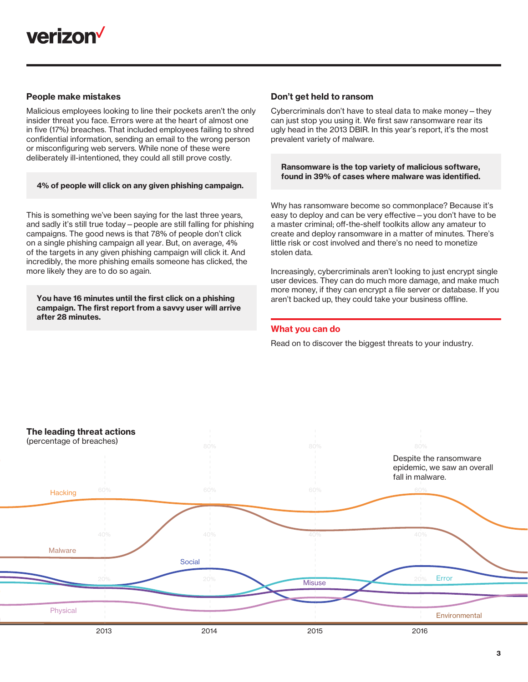

# People make mistakes

Malicious employees looking to line their pockets aren't the only insider threat you face. Errors were at the heart of almost one in five (17%) breaches. That included employees failing to shred confidential information, sending an email to the wrong person or misconfiguring web servers. While none of these were deliberately ill-intentioned, they could all still prove costly.

#### 4% of people will click on any given phishing campaign.

This is something we've been saying for the last three years, and sadly it's still true today—people are still falling for phishing campaigns. The good news is that 78% of people don't click on a single phishing campaign all year. But, on average, 4% of the targets in any given phishing campaign will click it. And incredibly, the more phishing emails someone has clicked, the more likely they are to do so again.

You have 16 minutes until the first click on a phishing campaign. The first report from a savvy user will arrive after 28 minutes.

# Don't get held to ransom

Cybercriminals don't have to steal data to make money—they can just stop you using it. We first saw ransomware rear its ugly head in the 2013 DBIR. In this year's report, it's the most prevalent variety of malware.

Ransomware is the top variety of malicious software, found in 39% of cases where malware was identified.

Why has ransomware become so commonplace? Because it's easy to deploy and can be very effective—you don't have to be a master criminal; off-the-shelf toolkits allow any amateur to create and deploy ransomware in a matter of minutes. There's little risk or cost involved and there's no need to monetize stolen data.

Increasingly, cybercriminals aren't looking to just encrypt single user devices. They can do much more damage, and make much more money, if they can encrypt a file server or database. If you aren't backed up, they could take your business offline.

## What you can do

Read on to discover the biggest threats to your industry.

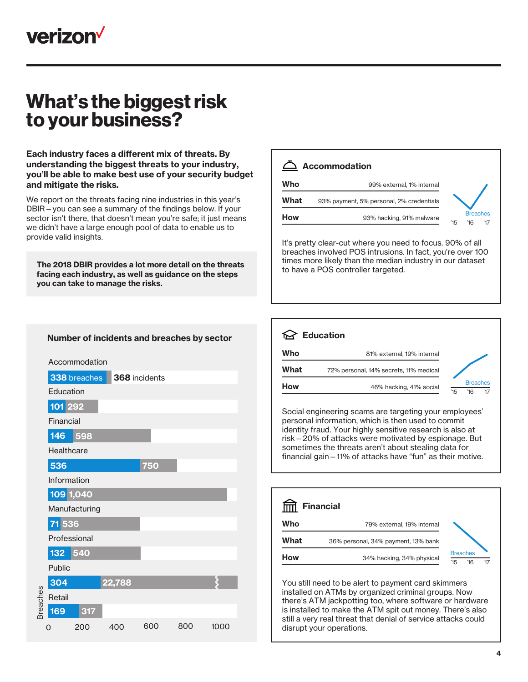

# What's the biggest risk to your business?

Each industry faces a different mix of threats. By understanding the biggest threats to your industry, you'll be able to make best use of your security budget and mitigate the risks.

We report on the threats facing nine industries in this year's DBIR—you can see a summary of the findings below. If your sector isn't there, that doesn't mean you're safe; it just means we didn't have a large enough pool of data to enable us to provide valid insights.

The 2018 DBIR provides a lot more detail on the threats facing each industry, as well as guidance on the steps you can take to manage the risks.

|      | <b>Accommodation</b>                     |                                      |
|------|------------------------------------------|--------------------------------------|
| Who  | 99% external, 1% internal                |                                      |
| What | 93% payment, 5% personal, 2% credentials |                                      |
| How  | 93% hacking, 91% malware                 | <b>Breaches</b><br>'15<br>'17<br>16' |

It's pretty clear-cut where you need to focus. 90% of all breaches involved POS intrusions. In fact, you're over 100 times more likely than the median industry in our dataset to have a POS controller targeted.



Social engineering scams are targeting your employees' personal information, which is then used to commit identity fraud. Your highly sensitive research is also at risk—20% of attacks were motivated by espionage. But sometimes the threats aren't about stealing data for financial gain—11% of attacks have "fun" as their motive.

|      | <b>Financial</b>                    |                                      |
|------|-------------------------------------|--------------------------------------|
| Who  | 79% external, 19% internal          |                                      |
| What | 36% personal, 34% payment, 13% bank |                                      |
| How  | 34% hacking, 34% physical           | <b>Breaches</b><br>'15<br>'17<br>16' |

You still need to be alert to payment card skimmers installed on ATMs by organized criminal groups. Now there's ATM jackpotting too, where software or hardware is installed to make the ATM spit out money. There's also still a very real threat that denial of service attacks could disrupt your operations.

# Number of incidents and breaches by sector

|                 |              | Accommodation |               |     |     |      |
|-----------------|--------------|---------------|---------------|-----|-----|------|
|                 |              | 338 breaches  | 368 incidents |     |     |      |
|                 | Education    |               |               |     |     |      |
|                 | 101 292      |               |               |     |     |      |
|                 | Financial    |               |               |     |     |      |
|                 | 146          | 598           |               |     |     |      |
|                 | Healthcare   |               |               |     |     |      |
|                 | 536          |               |               | 750 |     |      |
|                 | Information  |               |               |     |     |      |
|                 | 109 1,040    |               |               |     |     |      |
|                 |              | Manufacturing |               |     |     |      |
|                 | 71 536       |               |               |     |     |      |
|                 | Professional |               |               |     |     |      |
|                 | 132          | 540           |               |     |     |      |
|                 | Public       |               |               |     |     |      |
|                 | 304          |               | 22,788        |     |     |      |
| <b>Breaches</b> | Retail       |               |               |     |     |      |
|                 | 169          | 317           |               |     |     |      |
|                 | Ω            | 200           | 400           | 600 | 800 | 1000 |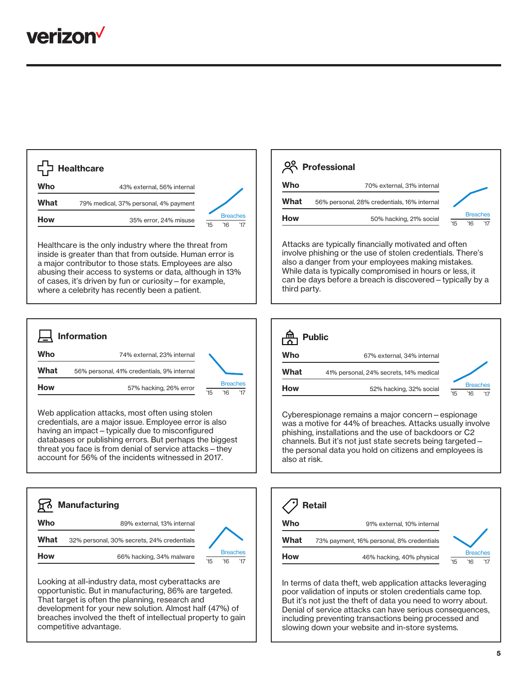

|      | <b>Healthcare</b>                     |     |                        |
|------|---------------------------------------|-----|------------------------|
| Who  | 43% external, 56% internal            |     |                        |
| What | 79% medical, 37% personal, 4% payment |     |                        |
| How  | 35% error, 24% misuse                 | '15 | <b>Breaches</b><br>'16 |

Healthcare is the only industry where the threat from inside is greater than that from outside. Human error is a major contributor to those stats. Employees are also abusing their access to systems or data, although in 13% of cases, it's driven by fun or curiosity—for example, where a celebrity has recently been a patient.



Web application attacks, most often using stolen credentials, are a major issue. Employee error is also having an impact—typically due to misconfigured databases or publishing errors. But perhaps the biggest threat you face is from denial of service attacks—they account for 56% of the incidents witnessed in 2017.



Looking at all-industry data, most cyberattacks are opportunistic. But in manufacturing, 86% are targeted. That target is often the planning, research and development for your new solution. Almost half (47%) of breaches involved the theft of intellectual property to gain competitive advantage.

|      | 28 Professional                             |                                      |
|------|---------------------------------------------|--------------------------------------|
| Who  | 70% external, 31% internal                  |                                      |
| What | 56% personal, 28% credentials, 16% internal |                                      |
| How  | 50% hacking, 21% social                     | <b>Breaches</b><br>'15<br>'17<br>16' |

Attacks are typically financially motivated and often involve phishing or the use of stolen credentials. There's also a danger from your employees making mistakes. While data is typically compromised in hours or less, it can be days before a breach is discovered—typically by a third party.



Cyberespionage remains a major concern—espionage was a motive for 44% of breaches. Attacks usually involve phishing, installations and the use of backdoors or C2 channels. But it's not just state secrets being targeted the personal data you hold on citizens and employees is also at risk.

|      | <b>Retail</b>                             |                                      |
|------|-------------------------------------------|--------------------------------------|
| Who  | 91% external, 10% internal                |                                      |
| What | 73% payment, 16% personal, 8% credentials |                                      |
| How  | 46% hacking, 40% physical                 | <b>Breaches</b><br>'15<br>'17<br>16' |

In terms of data theft, web application attacks leveraging poor validation of inputs or stolen credentials came top. But it's not just the theft of data you need to worry about. Denial of service attacks can have serious consequences, including preventing transactions being processed and slowing down your website and in-store systems.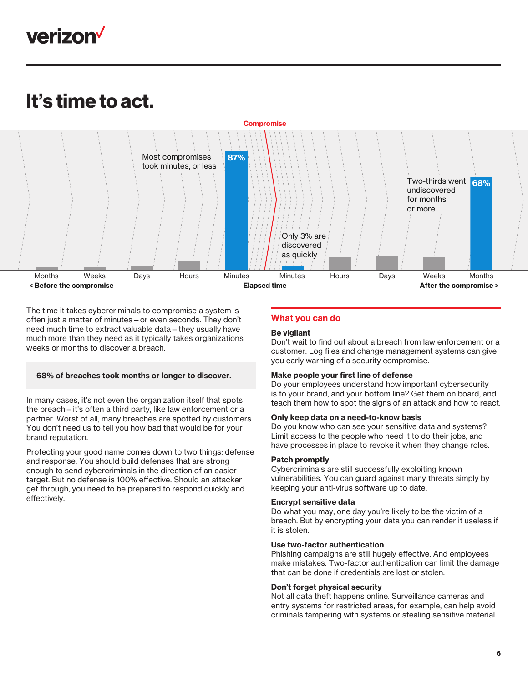

# It's time to act.



The time it takes cybercriminals to compromise a system is often just a matter of minutes—or even seconds. They don't need much time to extract valuable data—they usually have much more than they need as it typically takes organizations weeks or months to discover a breach.

## 68% of breaches took months or longer to discover.

In many cases, it's not even the organization itself that spots the breach—it's often a third party, like law enforcement or a partner. Worst of all, many breaches are spotted by customers. You don't need us to tell you how bad that would be for your brand reputation.

Protecting your good name comes down to two things: defense and response. You should build defenses that are strong enough to send cybercriminals in the direction of an easier target. But no defense is 100% effective. Should an attacker get through, you need to be prepared to respond quickly and effectively.

# What you can do

## Be vigilant

Don't wait to find out about a breach from law enforcement or a customer. Log files and change management systems can give you early warning of a security compromise.

## Make people your first line of defense

Do your employees understand how important cybersecurity is to your brand, and your bottom line? Get them on board, and teach them how to spot the signs of an attack and how to react.

#### Only keep data on a need-to-know basis

Do you know who can see your sensitive data and systems? Limit access to the people who need it to do their jobs, and have processes in place to revoke it when they change roles.

#### Patch promptly

Cybercriminals are still successfully exploiting known vulnerabilities. You can guard against many threats simply by keeping your anti-virus software up to date.

#### Encrypt sensitive data

Do what you may, one day you're likely to be the victim of a breach. But by encrypting your data you can render it useless if it is stolen.

## Use two-factor authentication

Phishing campaigns are still hugely effective. And employees make mistakes. Two-factor authentication can limit the damage that can be done if credentials are lost or stolen.

#### Don't forget physical security

Not all data theft happens online. Surveillance cameras and entry systems for restricted areas, for example, can help avoid criminals tampering with systems or stealing sensitive material.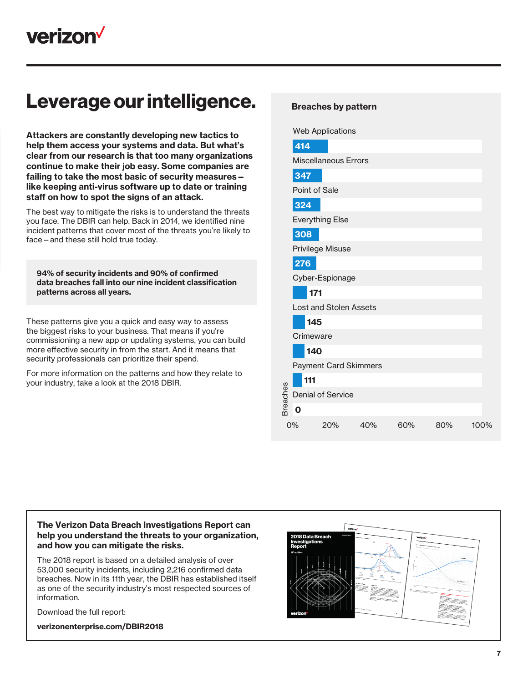# Leverage our intelligence.

Attackers are constantly developing new tactics to help them access your systems and data. But what's clear from our research is that too many organizations continue to make their job easy. Some companies are failing to take the most basic of security measures like keeping anti-virus software up to date or training staff on how to spot the signs of an attack.

The best way to mitigate the risks is to understand the threats you face. The DBIR can help. Back in 2014, we identified nine incident patterns that cover most of the threats you're likely to face—and these still hold true today.

94% of security incidents and 90% of confirmed data breaches fall into our nine incident classification patterns across all years.

These patterns give you a quick and easy way to assess the biggest risks to your business. That means if you're commissioning a new app or updating systems, you can build more effective security in from the start. And it means that security professionals can prioritize their spend.

For more information on the patterns and how they relate to your industry, take a look at the 2018 DBIR.

# Breaches by pattern

Web Applications

|          | 414                           |                              |     |     |     |      |  |
|----------|-------------------------------|------------------------------|-----|-----|-----|------|--|
|          | <b>Miscellaneous Errors</b>   |                              |     |     |     |      |  |
|          | 347                           |                              |     |     |     |      |  |
|          | Point of Sale                 |                              |     |     |     |      |  |
|          | 324                           |                              |     |     |     |      |  |
|          |                               | <b>Everything Else</b>       |     |     |     |      |  |
|          | 308                           |                              |     |     |     |      |  |
|          |                               | Privilege Misuse             |     |     |     |      |  |
|          | 276                           |                              |     |     |     |      |  |
|          |                               | Cyber-Espionage              |     |     |     |      |  |
|          | 171                           |                              |     |     |     |      |  |
|          | <b>Lost and Stolen Assets</b> |                              |     |     |     |      |  |
|          | 145                           |                              |     |     |     |      |  |
|          | Crimeware                     |                              |     |     |     |      |  |
|          | 140                           |                              |     |     |     |      |  |
|          |                               | <b>Payment Card Skimmers</b> |     |     |     |      |  |
|          | 111                           |                              |     |     |     |      |  |
| Breaches |                               | <b>Denial of Service</b>     |     |     |     |      |  |
|          | $\mathbf 0$                   |                              |     |     |     |      |  |
|          | 0%                            | 20%                          | 40% | 60% | 80% | 100% |  |
|          |                               |                              |     |     |     |      |  |

# The Verizon Data Breach Investigations Report can help you understand the threats to your organization, and how you can mitigate the risks.

The 2018 report is based on a detailed analysis of over 53,000 security incidents, including 2,216 confirmed data breaches. Now in its 11th year, the DBIR has established itself as one of the security industry's most respected sources of information.

Download the full report:

[verizonenterprise.com/DBIR2018](http://www.verizonenterprise.com/DBIR2018)